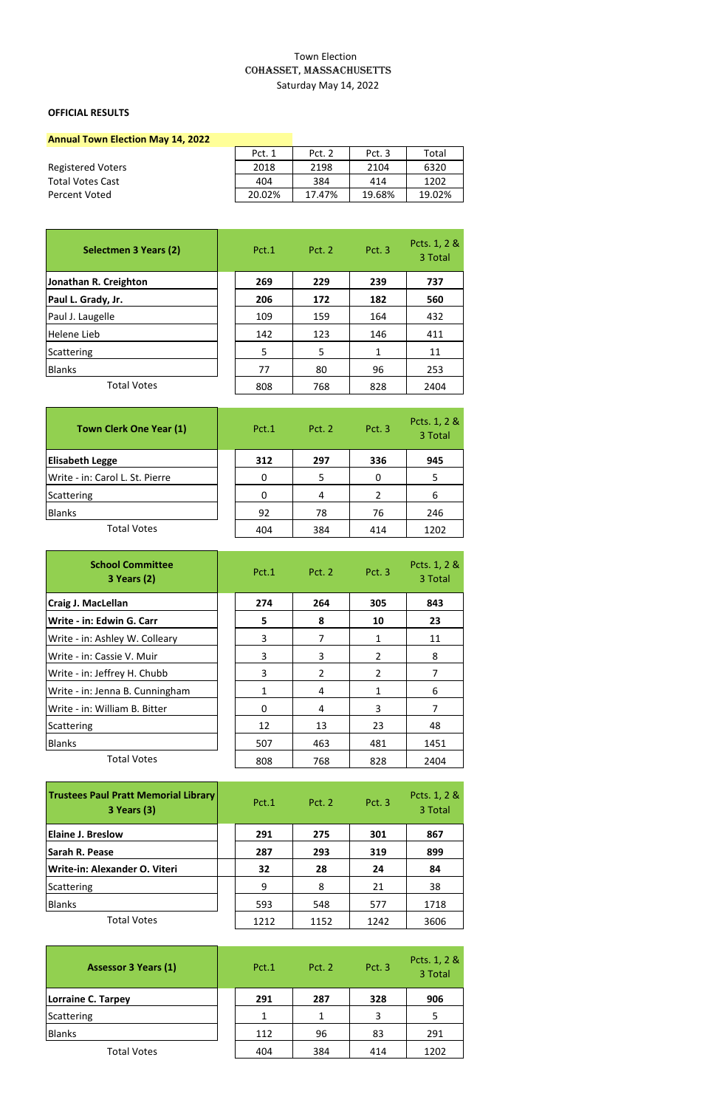## Town Election COHASSET, MASSACHUSETTS Saturday May 14, 2022

## **OFFICIAL RESULTS**

| <b>Annual Town Election May 14, 2022</b> |        |        |        |        |
|------------------------------------------|--------|--------|--------|--------|
|                                          | Pct. 1 | Pct. 2 | Pct. 3 | Total  |
| <b>Registered Voters</b>                 | 2018   | 2198   | 2104   | 6320   |
| <b>Total Votes Cast</b>                  | 404    | 384    | 414    | 1202   |
| Percent Voted                            | 20.02% | 17.47% | 19.68% | 19.02% |

| Selectmen 3 Years (2) | Pct.1 | Pct. 2 | Pct. 3 | Pcts. 1, 2 &<br>3 Total |
|-----------------------|-------|--------|--------|-------------------------|
| Jonathan R. Creighton | 269   | 229    | 239    | 737                     |
| Paul L. Grady, Jr.    | 206   | 172    | 182    | 560                     |
| Paul J. Laugelle      | 109   | 159    | 164    | 432                     |
| Helene Lieb           | 142   | 123    | 146    | 411                     |
| Scattering            | 5     | 5      |        | 11                      |
| <b>Blanks</b>         | 77    | 80     | 96     | 253                     |
| <b>Total Votes</b>    | 808   | 768    | 828    | 2404                    |

| <b>Town Clerk One Year (1)</b>  | Pct.1 | <b>Pct. 2</b> | Pct. 3 | Pcts. 1, 2 &<br>3 Total |
|---------------------------------|-------|---------------|--------|-------------------------|
| <b>Elisabeth Legge</b>          | 312   | 297           | 336    | 945                     |
| Write - in: Carol L. St. Pierre |       | 5             | 0      | 5                       |
| Scattering                      |       |               |        | 6                       |
| <b>Blanks</b>                   | 92    | 78            | 76     | 246                     |
| <b>Total Votes</b>              | 404   | 384           | 414    | 1202                    |

| <b>School Committee</b><br><b>3 Years (2)</b> |     | Pct.1 Pct.2    | Pct. 3         | Pcts. 1, 2 &<br>3 Total |
|-----------------------------------------------|-----|----------------|----------------|-------------------------|
| Craig J. MacLellan                            | 274 | 264            | 305            | 843                     |
| Write - in: Edwin G. Carr                     | 5   | 8              | 10             | 23                      |
| Write - in: Ashley W. Colleary                | 3   | 7              | 1              | 11                      |
| Write - in: Cassie V. Muir                    | 3   | 3              | $\overline{2}$ | 8                       |
| Write - in: Jeffrey H. Chubb                  | 3   | $\overline{2}$ | $\overline{2}$ | 7                       |
| Write - in: Jenna B. Cunningham               | 1   | 4              | 1              | 6                       |
| Write - in: William B. Bitter                 | 0   | 4              | 3              | 7                       |
| Scattering                                    | 12  | 13             | 23             | 48                      |
| <b>Blanks</b>                                 | 507 | 463            | 481            | 1451                    |
| <b>Total Votes</b>                            | 808 | 768            | 828            | 2404                    |

| <b>Trustees Paul Pratt Memorial Library</b><br><b>3 Years (3)</b> | Pct.1 | <b>Pct. 2</b> | Pct. 3 | Pcts. 1, 2 &<br>3 Total |
|-------------------------------------------------------------------|-------|---------------|--------|-------------------------|
| <b>Elaine J. Breslow</b>                                          | 291   | 275           | 301    | 867                     |
| Sarah R. Pease                                                    | 287   | 293           | 319    | 899                     |
| Write-in: Alexander O. Viteri                                     | 32    | 28            | 24     | 84                      |
| Scattering                                                        | 9     | 8             | 21     | 38                      |
| <b>Blanks</b>                                                     | 593   | 548           | 577    | 1718                    |
| <b>Total Votes</b>                                                | 1212  | 1152          | 1242   | 3606                    |

| <b>Assessor 3 Years (1)</b> | Pct.1 | <b>Pct. 2</b> | Pct. 3 | Pcts. 1, 2 &<br>3 Total |
|-----------------------------|-------|---------------|--------|-------------------------|
| Lorraine C. Tarpey          | 291   | 287           | 328    | 906                     |
| Scattering                  |       |               | 3      | 5                       |
| <b>Blanks</b>               | 112   | 96            | 83     | 291                     |
| <b>Total Votes</b>          | 404   | 384           | 414    | 1202                    |